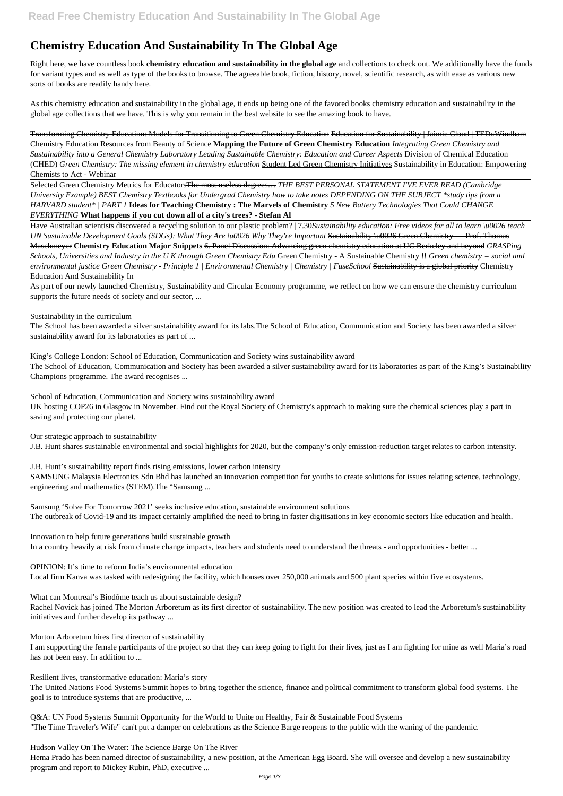## **Chemistry Education And Sustainability In The Global Age**

Right here, we have countless book **chemistry education and sustainability in the global age** and collections to check out. We additionally have the funds for variant types and as well as type of the books to browse. The agreeable book, fiction, history, novel, scientific research, as with ease as various new sorts of books are readily handy here.

As this chemistry education and sustainability in the global age, it ends up being one of the favored books chemistry education and sustainability in the global age collections that we have. This is why you remain in the best website to see the amazing book to have.

Transforming Chemistry Education: Models for Transitioning to Green Chemistry Education Education for Sustainability | Jaimie Cloud | TEDxWindham Chemistry Education Resources from Beauty of Science **Mapping the Future of Green Chemistry Education** *Integrating Green Chemistry and Sustainability into a General Chemistry Laboratory Leading Sustainable Chemistry: Education and Career Aspects* Division of Chemical Education (CHED) *Green Chemistry: The missing element in chemistry education* Student Led Green Chemistry Initiatives Sustainability in Education: Empowering Chemists to Act - Webinar

Selected Green Chemistry Metrics for EducatorsThe most useless degrees… *THE BEST PERSONAL STATEMENT I'VE EVER READ (Cambridge University Example) BEST Chemistry Textbooks for Undergrad Chemistry how to take notes DEPENDING ON THE SUBJECT \*study tips from a HARVARD student\* | PART 1* **Ideas for Teaching Chemistry : The Marvels of Chemistry** *5 New Battery Technologies That Could CHANGE EVERYTHING* **What happens if you cut down all of a city's trees? - Stefan Al**

Have Australian scientists discovered a recycling solution to our plastic problem? | 7.30*Sustainability education: Free videos for all to learn \u0026 teach UN Sustainable Development Goals (SDGs): What They Are \u0026 Why They're Important* Sustainability \u0026 Green Chemistry — Prof. Thomas Maschmeyer **Chemistry Education Major Snippets** 6. Panel Discussion: Advancing green chemistry education at UC Berkeley and beyond *GRASPing Schools, Universities and Industry in the U K through Green Chemistry Edu* Green Chemistry - A Sustainable Chemistry !! *Green chemistry = social and environmental justice Green Chemistry - Principle 1 | Environmental Chemistry | Chemistry | FuseSchool* Sustainability is a global priority Chemistry Education And Sustainability In

As part of our newly launched Chemistry, Sustainability and Circular Economy programme, we reflect on how we can ensure the chemistry curriculum supports the future needs of society and our sector, ...

Sustainability in the curriculum

The School has been awarded a silver sustainability award for its labs.The School of Education, Communication and Society has been awarded a silver sustainability award for its laboratories as part of ...

King's College London: School of Education, Communication and Society wins sustainability award The School of Education, Communication and Society has been awarded a silver sustainability award for its laboratories as part of the King's Sustainability Champions programme. The award recognises ...

School of Education, Communication and Society wins sustainability award UK hosting COP26 in Glasgow in November. Find out the Royal Society of Chemistry's approach to making sure the chemical sciences play a part in saving and protecting our planet.

Our strategic approach to sustainability

J.B. Hunt shares sustainable environmental and social highlights for 2020, but the company's only emission-reduction target relates to carbon intensity.

J.B. Hunt's sustainability report finds rising emissions, lower carbon intensity

SAMSUNG Malaysia Electronics Sdn Bhd has launched an innovation competition for youths to create solutions for issues relating science, technology, engineering and mathematics (STEM).The "Samsung ...

Samsung 'Solve For Tomorrow 2021' seeks inclusive education, sustainable environment solutions The outbreak of Covid-19 and its impact certainly amplified the need to bring in faster digitisations in key economic sectors like education and health.

Innovation to help future generations build sustainable growth In a country heavily at risk from climate change impacts, teachers and students need to understand the threats - and opportunities - better ...

OPINION: It's time to reform India's environmental education Local firm Kanva was tasked with redesigning the facility, which houses over 250,000 animals and 500 plant species within five ecosystems.

What can Montreal's Biodôme teach us about sustainable design?

Rachel Novick has joined The Morton Arboretum as its first director of sustainability. The new position was created to lead the Arboretum's sustainability initiatives and further develop its pathway ...

Morton Arboretum hires first director of sustainability

I am supporting the female participants of the project so that they can keep going to fight for their lives, just as I am fighting for mine as well Maria's road has not been easy. In addition to ...

Resilient lives, transformative education: Maria's story

The United Nations Food Systems Summit hopes to bring together the science, finance and political commitment to transform global food systems. The goal is to introduce systems that are productive, ...

Q&A: UN Food Systems Summit Opportunity for the World to Unite on Healthy, Fair & Sustainable Food Systems "The Time Traveler's Wife" can't put a damper on celebrations as the Science Barge reopens to the public with the waning of the pandemic.

Hudson Valley On The Water: The Science Barge On The River

Hema Prado has been named director of sustainability, a new position, at the American Egg Board. She will oversee and develop a new sustainability program and report to Mickey Rubin, PhD, executive ...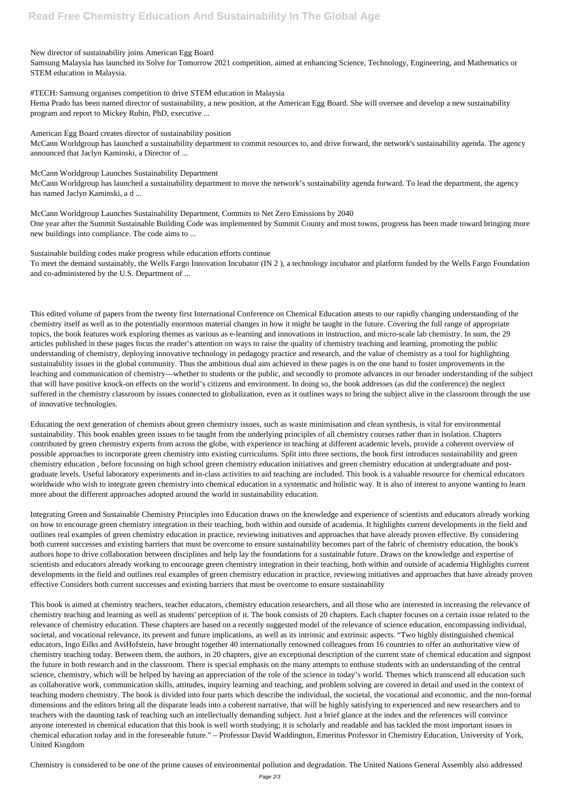New director of sustainability joins American Egg Board

Samsung Malaysia has launched its Solve for Tomorrow 2021 competition, aimed at enhancing Science, Technology, Engineering, and Mathematics or STEM education in Malaysia.

#TECH: Samsung organises competition to drive STEM education in Malaysia

Hema Prado has been named director of sustainability, a new position, at the American Egg Board. She will oversee and develop a new sustainability program and report to Mickey Rubin, PhD, executive ...

American Egg Board creates director of sustainability position McCann Worldgroup has launched a sustainability department to commit resources to, and drive forward, the network's sustainability agenda. The agency announced that Jaclyn Kaminski, a Director of ...

McCann Worldgroup Launches Sustainability Department

McCann Worldgroup has launched a sustainability department to move the network's sustainability agenda forward. To lead the department, the agency has named Jaclyn Kaminski, a d ...

McCann Worldgroup Launches Sustainability Department, Commits to Net Zero Emissions by 2040 One year after the Summit Sustainable Building Code was implemented by Summit County and most towns, progress has been made toward bringing more new buildings into compliance. The code aims to ...

Sustainable building codes make progress while education efforts continue

To meet the demand sustainably, the Wells Fargo Innovation Incubator (IN 2 ), a technology incubator and platform funded by the Wells Fargo Foundation and co-administered by the U.S. Department of ...

This edited volume of papers from the twenty first International Conference on Chemical Education attests to our rapidly changing understanding of the chemistry itself as well as to the potentially enormous material changes in how it might be taught in the future. Covering the full range of appropriate topics, the book features work exploring themes as various as e-learning and innovations in instruction, and micro-scale lab chemistry. In sum, the 29 articles published in these pages focus the reader's attention on ways to raise the quality of chemistry teaching and learning, promoting the public understanding of chemistry, deploying innovative technology in pedagogy practice and research, and the value of chemistry as a tool for highlighting sustainability issues in the global community. Thus the ambitious dual aim achieved in these pages is on the one hand to foster improvements in the leaching and communication of chemistry—whether to students or the public, and secondly to promote advances in our broader understanding of the subject that will have positive knock-on effects on the world's citizens and environment. In doing so, the book addresses (as did the conference) the neglect suffered in the chemistry classroom by issues connected to globalization, even as it outlines ways to bring the subject alive in the classroom through the use of innovative technologies.

Educating the next generation of chemists about green chemistry issues, such as waste minimisation and clean synthesis, is vital for environmental sustainability. This book enables green issues to be taught from the underlying principles of all chemistry courses rather than in isolation. Chapters contributed by green chemistry experts from across the globe, with experience in teaching at different academic levels, provide a coherent overview of possible approaches to incorporate green chemistry into existing curriculums. Split into three sections, the book first introduces sustainability and green chemistry education , before focussing on high school green chemistry education initiatives and green chemistry education at undergraduate and postgraduate levels. Useful laboratory experiments and in-class activities to aid teaching are included. This book is a valuable resource for chemical educators worldwide who wish to integrate green chemistry into chemical education in a systematic and holistic way. It is also of interest to anyone wanting to learn more about the different approaches adopted around the world in sustainability education.

Integrating Green and Sustainable Chemistry Principles into Education draws on the knowledge and experience of scientists and educators already working on how to encourage green chemistry integration in their teaching, both within and outside of academia. It highlights current developments in the field and outlines real examples of green chemistry education in practice, reviewing initiatives and approaches that have already proven effective. By considering both current successes and existing barriers that must be overcome to ensure sustainability becomes part of the fabric of chemistry education, the book's authors hope to drive collaboration between disciplines and help lay the foundations for a sustainable future. Draws on the knowledge and expertise of scientists and educators already working to encourage green chemistry integration in their teaching, both within and outside of academia Highlights current developments in the field and outlines real examples of green chemistry education in practice, reviewing initiatives and approaches that have already proven effective Considers both current successes and existing barriers that must be overcome to ensure sustainability

This book is aimed at chemistry teachers, teacher educators, chemistry education researchers, and all those who are interested in increasing the relevance of chemistry teaching and learning as well as students' perception of it. The book consists of 20 chapters. Each chapter focuses on a certain issue related to the relevance of chemistry education. These chapters are based on a recently suggested model of the relevance of science education, encompassing individual, societal, and vocational relevance, its present and future implications, as well as its intrinsic and extrinsic aspects. "Two highly distinguished chemical educators, Ingo Eilks and AviHofstein, have brought together 40 internationally renowned colleagues from 16 countries to offer an authoritative view of chemistry teaching today. Between them, the authors, in 20 chapters, give an exceptional description of the current state of chemical education and signpost the future in both research and in the classroom. There is special emphasis on the many attempts to enthuse students with an understanding of the central science, chemistry, which will be helped by having an appreciation of the role of the science in today's world. Themes which transcend all education such as collaborative work, communication skills, attitudes, inquiry learning and teaching, and problem solving are covered in detail and used in the context of teaching modern chemistry. The book is divided into four parts which describe the individual, the societal, the vocational and economic, and the non-formal dimensions and the editors bring all the disparate leads into a coherent narrative, that will be highly satisfying to experienced and new researchers and to teachers with the daunting task of teaching such an intellectually demanding subject. Just a brief glance at the index and the references will convince anyone interested in chemical education that this book is well worth studying; it is scholarly and readable and has tackled the most important issues in chemical education today and in the foreseeable future." – Professor David Waddington, Emeritus Professor in Chemistry Education, University of York, United Kingdom

Chemistry is considered to be one of the prime causes of environmental pollution and degradation. The United Nations General Assembly also addressed